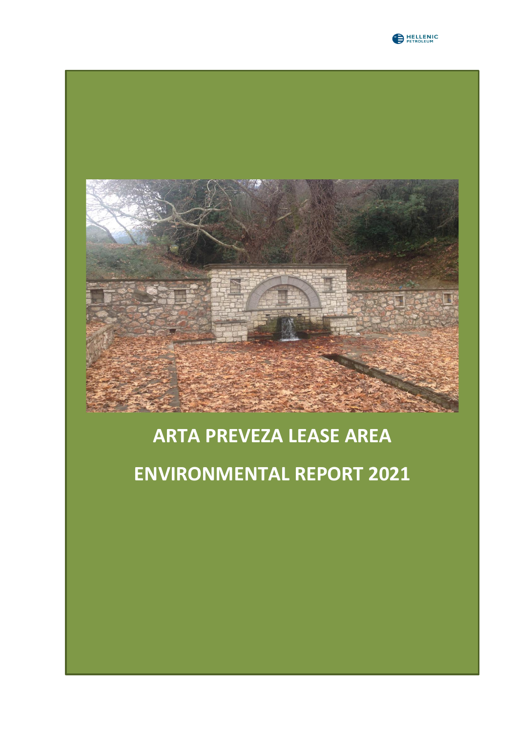



## **ARTA PREVEZA LEASE AREA**

# **ENVIRONMENTAL REPORT 2021**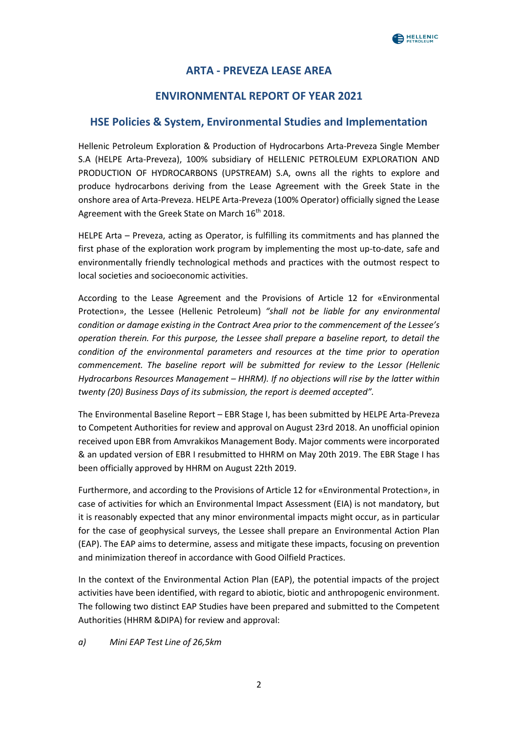### **ARTA - PREVEZA LEASE AREA**

### **ENVIRONMENTAL REPORT OF YEAR 2021**

#### **HSE Policies & System, Environmental Studies and Implementation**

Hellenic Petroleum Exploration & Production of Hydrocarbons Arta-Preveza Single Member S.A (HELPE Arta-Preveza), 100% subsidiary of HELLENIC PETROLEUM EXPLORATION AND PRODUCTION OF HYDROCARBONS (UPSTREAM) S.A, owns all the rights to explore and produce hydrocarbons deriving from the Lease Agreement with the Greek State in the onshore area of Arta-Preveza. HELPE Arta-Preveza (100% Operator) officially signed the Lease Agreement with the Greek State on March 16<sup>th</sup> 2018.

HELPE Arta – Preveza, acting as Operator, is fulfilling its commitments and has planned the first phase of the exploration work program by implementing the most up-to-date, safe and environmentally friendly technological methods and practices with the outmost respect to local societies and socioeconomic activities.

According to the Lease Agreement and the Provisions of Article 12 for «Environmental Protection», the Lessee (Hellenic Petroleum) *"shall not be liable for any environmental condition or damage existing in the Contract Area prior to the commencement of the Lessee's operation therein. For this purpose, the Lessee shall prepare a baseline report, to detail the condition of the environmental parameters and resources at the time prior to operation commencement. The baseline report will be submitted for review to the Lessor (Hellenic Hydrocarbons Resources Management – HHRM). If no objections will rise by the latter within twenty (20) Business Days of its submission, the report is deemed accepted".*

The Environmental Baseline Report – EBR Stage I, has been submitted by HELPE Arta-Preveza to Competent Authorities for review and approval on August 23rd 2018. An unofficial opinion received upon EBR from Amvrakikos Management Body. Major comments were incorporated & an updated version of EBR I resubmitted to HHRM on May 20th 2019. The EBR Stage I has been officially approved by HHRM on August 22th 2019.

Furthermore, and according to the Provisions of Article 12 for «Environmental Protection», in case of activities for which an Environmental Impact Assessment (EIA) is not mandatory, but it is reasonably expected that any minor environmental impacts might occur, as in particular for the case of geophysical surveys, the Lessee shall prepare an Environmental Action Plan (EAP). The EAP aims to determine, assess and mitigate these impacts, focusing on prevention and minimization thereof in accordance with Good Oilfield Practices.

In the context of the Environmental Action Plan (EAP), the potential impacts of the project activities have been identified, with regard to abiotic, biotic and anthropogenic environment. The following two distinct EAP Studies have been prepared and submitted to the Competent Authorities (HHRM &DIPA) for review and approval:

#### *a) Mini EAP Test Line of 26,5km*